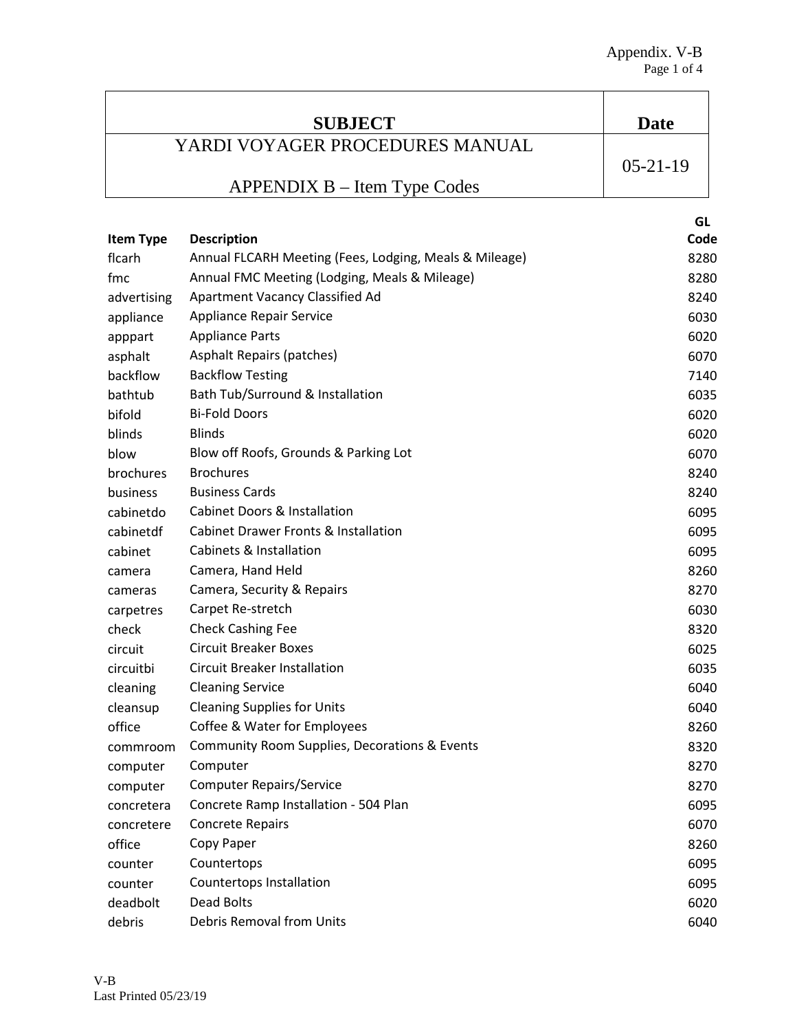| <b>SUBJECT</b>   |                                                        | <b>Date</b>    |
|------------------|--------------------------------------------------------|----------------|
|                  | YARDI VOYAGER PROCEDURES MANUAL                        |                |
|                  |                                                        | $05 - 21 - 19$ |
|                  | APPENDIX B – Item Type Codes                           |                |
|                  |                                                        | GL             |
| <b>Item Type</b> | <b>Description</b>                                     | Code           |
| flcarh           | Annual FLCARH Meeting (Fees, Lodging, Meals & Mileage) | 8280           |
| fmc              | Annual FMC Meeting (Lodging, Meals & Mileage)          | 8280           |
| advertising      | Apartment Vacancy Classified Ad                        | 8240           |
| appliance        | <b>Appliance Repair Service</b>                        | 6030           |
| apppart          | <b>Appliance Parts</b>                                 | 6020           |
| asphalt          | <b>Asphalt Repairs (patches)</b>                       | 6070           |
| backflow         | <b>Backflow Testing</b>                                | 7140           |
| bathtub          | Bath Tub/Surround & Installation                       | 6035           |
| bifold           | <b>Bi-Fold Doors</b>                                   | 6020           |
| blinds           | <b>Blinds</b>                                          | 6020           |
| blow             | Blow off Roofs, Grounds & Parking Lot                  | 6070           |
| brochures        | <b>Brochures</b>                                       | 8240           |
| business         | <b>Business Cards</b>                                  | 8240           |
| cabinetdo        | <b>Cabinet Doors &amp; Installation</b>                | 6095           |
| cabinetdf        | <b>Cabinet Drawer Fronts &amp; Installation</b>        | 6095           |
| cabinet          | Cabinets & Installation                                | 6095           |
| camera           | Camera, Hand Held                                      | 8260           |
| cameras          | Camera, Security & Repairs                             | 8270           |
| carpetres        | Carpet Re-stretch                                      | 6030           |
| check            | <b>Check Cashing Fee</b>                               | 8320           |
| circuit          | <b>Circuit Breaker Boxes</b>                           | 6025           |
| circuitbi        | <b>Circuit Breaker Installation</b>                    | 6035           |
| cleaning         | <b>Cleaning Service</b>                                | 6040           |
| cleansup         | <b>Cleaning Supplies for Units</b>                     | 6040           |
| office           | Coffee & Water for Employees                           | 8260           |
| commroom         | Community Room Supplies, Decorations & Events          | 8320           |
| computer         | Computer                                               | 8270           |
| computer         | <b>Computer Repairs/Service</b>                        | 8270           |
| concretera       | Concrete Ramp Installation - 504 Plan                  | 6095           |
| concretere       | <b>Concrete Repairs</b>                                | 6070           |
| office           | Copy Paper                                             | 8260           |
| counter          | Countertops                                            | 6095           |
| counter          | Countertops Installation                               | 6095           |
| deadbolt         | Dead Bolts                                             | 6020           |
| debris           | Debris Removal from Units                              | 6040           |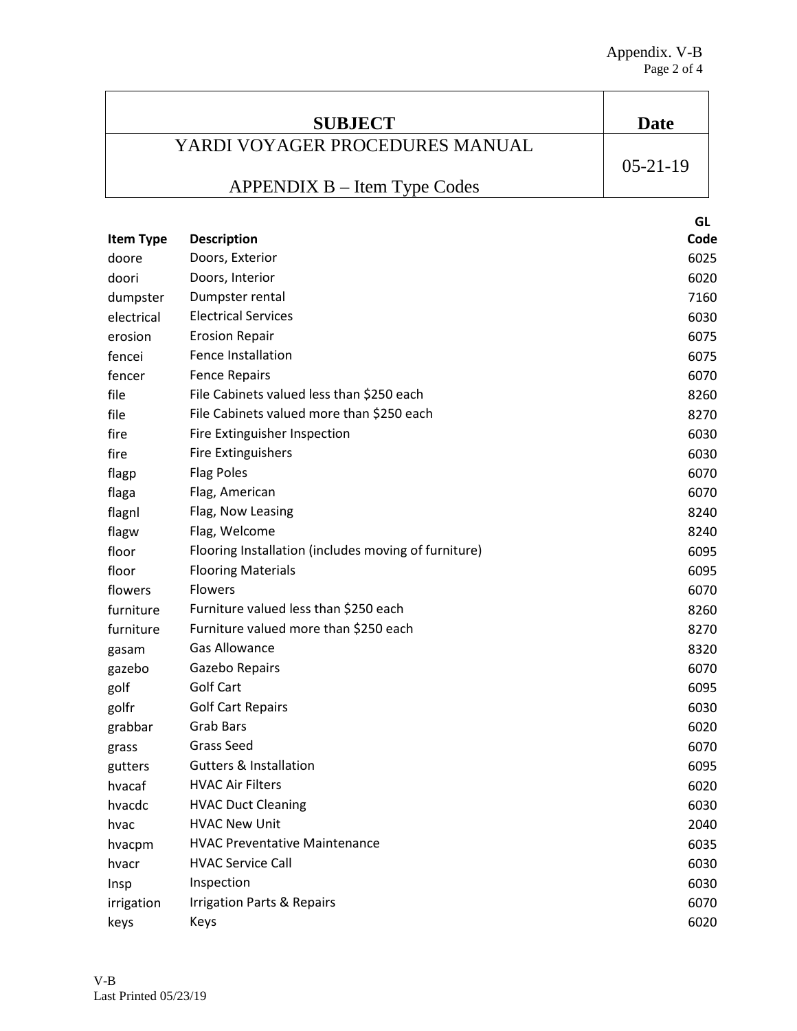| Date       |
|------------|
|            |
| $05-21-19$ |
|            |
|            |

|                  |                                                      | GL   |
|------------------|------------------------------------------------------|------|
| <b>Item Type</b> | <b>Description</b>                                   | Code |
| doore            | Doors, Exterior                                      | 6025 |
| doori            | Doors, Interior                                      | 6020 |
| dumpster         | Dumpster rental                                      | 7160 |
| electrical       | <b>Electrical Services</b>                           | 6030 |
| erosion          | <b>Erosion Repair</b>                                | 6075 |
| fencei           | Fence Installation                                   | 6075 |
| fencer           | <b>Fence Repairs</b>                                 | 6070 |
| file             | File Cabinets valued less than \$250 each            | 8260 |
| file             | File Cabinets valued more than \$250 each            | 8270 |
| fire             | Fire Extinguisher Inspection                         | 6030 |
| fire             | <b>Fire Extinguishers</b>                            | 6030 |
| flagp            | <b>Flag Poles</b>                                    | 6070 |
| flaga            | Flag, American                                       | 6070 |
| flagnl           | Flag, Now Leasing                                    | 8240 |
| flagw            | Flag, Welcome                                        | 8240 |
| floor            | Flooring Installation (includes moving of furniture) | 6095 |
| floor            | <b>Flooring Materials</b>                            | 6095 |
| flowers          | <b>Flowers</b>                                       | 6070 |
| furniture        | Furniture valued less than \$250 each                | 8260 |
| furniture        | Furniture valued more than \$250 each                | 8270 |
| gasam            | <b>Gas Allowance</b>                                 | 8320 |
| gazebo           | Gazebo Repairs                                       | 6070 |
| golf             | <b>Golf Cart</b>                                     | 6095 |
| golfr            | <b>Golf Cart Repairs</b>                             | 6030 |
| grabbar          | <b>Grab Bars</b>                                     | 6020 |
| grass            | <b>Grass Seed</b>                                    | 6070 |
| gutters          | <b>Gutters &amp; Installation</b>                    | 6095 |
| hvacaf           | <b>HVAC Air Filters</b>                              | 6020 |
| hvacdc           | <b>HVAC Duct Cleaning</b>                            | 6030 |
| hvac             | <b>HVAC New Unit</b>                                 | 2040 |
| hvacpm           | <b>HVAC Preventative Maintenance</b>                 | 6035 |
| hvacr            | <b>HVAC Service Call</b>                             | 6030 |
| Insp             | Inspection                                           | 6030 |
| irrigation       | <b>Irrigation Parts &amp; Repairs</b>                | 6070 |
| keys             | Keys                                                 | 6020 |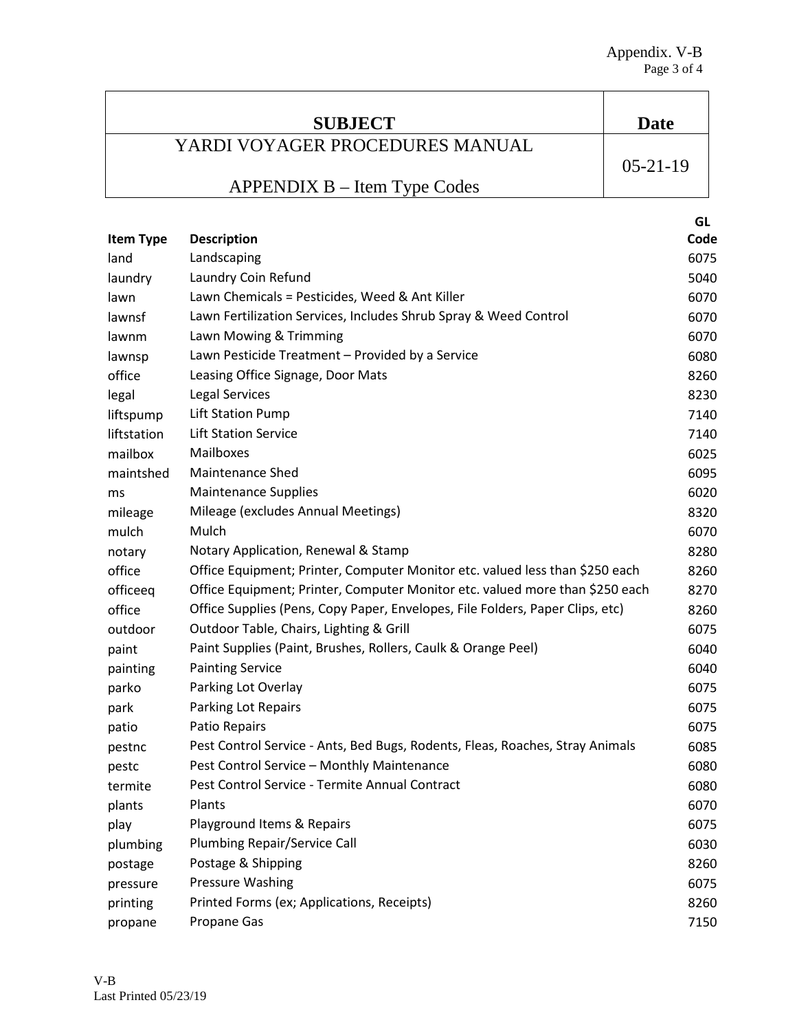| <b>SUBJECT</b>                  | Date       |
|---------------------------------|------------|
| YARDI VOYAGER PROCEDURES MANUAL |            |
|                                 | $05-21-19$ |
| $APPENDIX B - Item Type Codes$  |            |
|                                 | GL         |

| <b>Item Type</b> | <b>Description</b>                                                            | Code |
|------------------|-------------------------------------------------------------------------------|------|
| land             | Landscaping                                                                   | 6075 |
| laundry          | Laundry Coin Refund                                                           | 5040 |
| lawn             | Lawn Chemicals = Pesticides, Weed & Ant Killer                                | 6070 |
| lawnsf           | Lawn Fertilization Services, Includes Shrub Spray & Weed Control              | 6070 |
| lawnm            | Lawn Mowing & Trimming                                                        | 6070 |
| lawnsp           | Lawn Pesticide Treatment - Provided by a Service                              | 6080 |
| office           | Leasing Office Signage, Door Mats                                             | 8260 |
| legal            | <b>Legal Services</b>                                                         | 8230 |
| liftspump        | <b>Lift Station Pump</b>                                                      | 7140 |
| liftstation      | <b>Lift Station Service</b>                                                   | 7140 |
| mailbox          | Mailboxes                                                                     | 6025 |
| maintshed        | <b>Maintenance Shed</b>                                                       | 6095 |
| ms               | <b>Maintenance Supplies</b>                                                   | 6020 |
| mileage          | Mileage (excludes Annual Meetings)                                            | 8320 |
| mulch            | Mulch                                                                         | 6070 |
| notary           | Notary Application, Renewal & Stamp                                           | 8280 |
| office           | Office Equipment; Printer, Computer Monitor etc. valued less than \$250 each  | 8260 |
| officeeq         | Office Equipment; Printer, Computer Monitor etc. valued more than \$250 each  | 8270 |
| office           | Office Supplies (Pens, Copy Paper, Envelopes, File Folders, Paper Clips, etc) | 8260 |
| outdoor          | Outdoor Table, Chairs, Lighting & Grill                                       | 6075 |
| paint            | Paint Supplies (Paint, Brushes, Rollers, Caulk & Orange Peel)                 | 6040 |
| painting         | <b>Painting Service</b>                                                       | 6040 |
| parko            | Parking Lot Overlay                                                           | 6075 |
| park             | Parking Lot Repairs                                                           | 6075 |
| patio            | Patio Repairs                                                                 | 6075 |
| pestnc           | Pest Control Service - Ants, Bed Bugs, Rodents, Fleas, Roaches, Stray Animals | 6085 |
| pestc            | Pest Control Service - Monthly Maintenance                                    | 6080 |
| termite          | Pest Control Service - Termite Annual Contract                                | 6080 |
| plants           | Plants                                                                        | 6070 |
| play             | Playground Items & Repairs                                                    | 6075 |
| plumbing         | Plumbing Repair/Service Call                                                  | 6030 |
| postage          | Postage & Shipping                                                            | 8260 |
| pressure         | Pressure Washing                                                              | 6075 |
| printing         | Printed Forms (ex; Applications, Receipts)                                    | 8260 |
| propane          | Propane Gas                                                                   | 7150 |